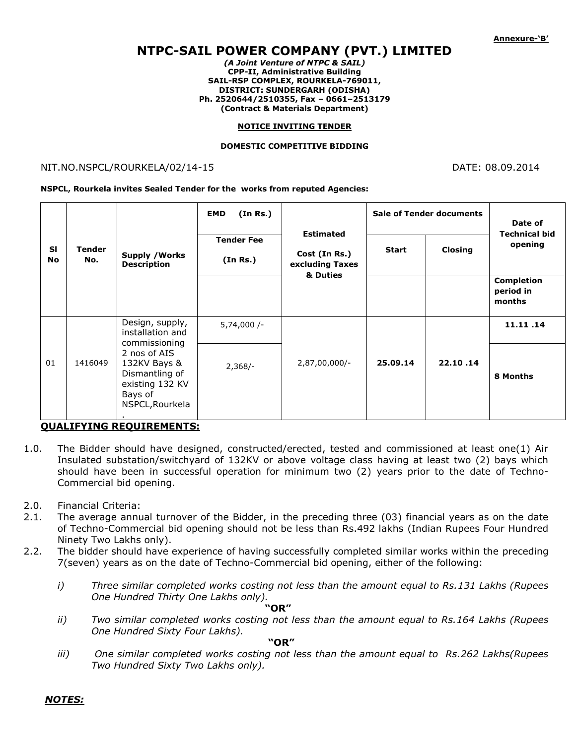# **NTPC-SAIL POWER COMPANY (PVT.) LIMITED**

*(A Joint Venture of NTPC & SAIL)* **CPP-II, Administrative Building SAIL-RSP COMPLEX, ROURKELA-769011, DISTRICT: SUNDERGARH (ODISHA) Ph. 2520644/2510355, Fax – 0661–2513179 (Contract & Materials Department)**

#### **NOTICE INVITING TENDER**

#### **DOMESTIC COMPETITIVE BIDDING**

### NIT.NO.NSPCL/ROURKELA/02/14-15 DATE: 08.09.2014

**NSPCL, Rourkela invites Sealed Tender for the works from reputed Agencies:**

| <b>SI</b><br><b>No</b> | <b>Tender</b><br>No. | <b>Supply / Works</b><br><b>Description</b>                                                                                                             | <b>EMD</b><br>(In Rs.)        | <b>Estimated</b><br>Cost (In Rs.)<br>excluding Taxes<br>& Duties | <b>Sale of Tender documents</b> |          | Date of<br><b>Technical bid</b>          |
|------------------------|----------------------|---------------------------------------------------------------------------------------------------------------------------------------------------------|-------------------------------|------------------------------------------------------------------|---------------------------------|----------|------------------------------------------|
|                        |                      |                                                                                                                                                         | <b>Tender Fee</b><br>(In Rs.) |                                                                  | <b>Start</b>                    | Closing  | opening                                  |
|                        |                      |                                                                                                                                                         |                               |                                                                  |                                 |          | <b>Completion</b><br>period in<br>months |
| 01                     | 1416049              | Design, supply,<br>installation and<br>commissioning<br>2 nos of AIS<br>132KV Bays &<br>Dismantling of<br>existing 132 KV<br>Bays of<br>NSPCL, Rourkela | $5,74,000/-$                  | 2,87,00,000/-                                                    | 25.09.14                        | 22.10.14 | 11.11.14                                 |
|                        |                      |                                                                                                                                                         | $2,368/-$                     |                                                                  |                                 |          | 8 Months                                 |

### **QUALIFYING REQUIREMENTS:**

- 1.0. The Bidder should have designed, constructed/erected, tested and commissioned at least one(1) Air Insulated substation/switchyard of 132KV or above voltage class having at least two (2) bays which should have been in successful operation for minimum two (2) years prior to the date of Techno-Commercial bid opening.
- 2.0. Financial Criteria:
- 2.1. The average annual turnover of the Bidder, in the preceding three (03) financial years as on the date of Techno-Commercial bid opening should not be less than Rs.492 lakhs (Indian Rupees Four Hundred Ninety Two Lakhs only).
- 2.2. The bidder should have experience of having successfully completed similar works within the preceding 7(seven) years as on the date of Techno-Commercial bid opening, either of the following:
	- *i) Three similar completed works costing not less than the amount equal to Rs.131 Lakhs (Rupees One Hundred Thirty One Lakhs only).*

 **"OR"**

*ii) Two similar completed works costing not less than the amount equal to Rs.164 Lakhs (Rupees One Hundred Sixty Four Lakhs).* 

 **"OR"** 

*iii) One similar completed works costing not less than the amount equal to Rs.262 Lakhs(Rupees Two Hundred Sixty Two Lakhs only).* 

*NOTES:*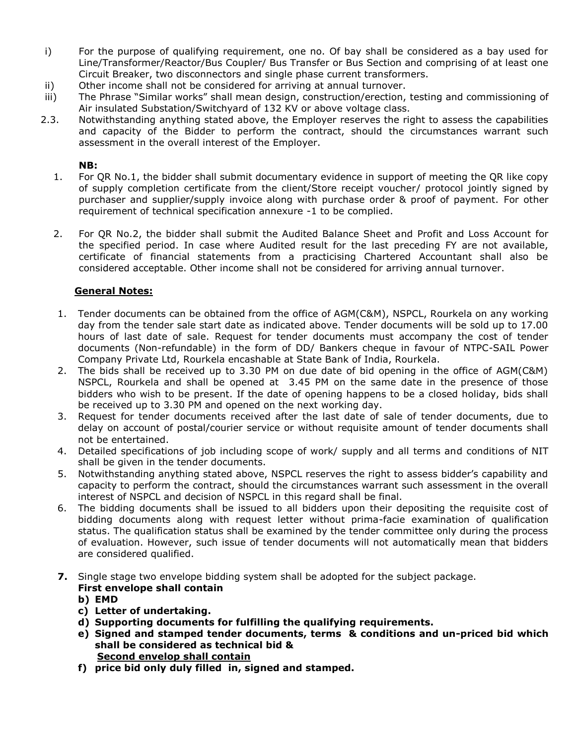- i) For the purpose of qualifying requirement, one no. Of bay shall be considered as a bay used for Line/Transformer/Reactor/Bus Coupler/ Bus Transfer or Bus Section and comprising of at least one Circuit Breaker, two disconnectors and single phase current transformers.
- ii) Other income shall not be considered for arriving at annual turnover.
- iii) The Phrase "Similar works" shall mean design, construction/erection, testing and commissioning of Air insulated Substation/Switchyard of 132 KV or above voltage class.
- 2.3. Notwithstanding anything stated above, the Employer reserves the right to assess the capabilities and capacity of the Bidder to perform the contract, should the circumstances warrant such assessment in the overall interest of the Employer.

## **NB:**

- 1. For QR No.1, the bidder shall submit documentary evidence in support of meeting the QR like copy of supply completion certificate from the client/Store receipt voucher/ protocol jointly signed by purchaser and supplier/supply invoice along with purchase order & proof of payment. For other requirement of technical specification annexure -1 to be complied.
- 2. For QR No.2, the bidder shall submit the Audited Balance Sheet and Profit and Loss Account for the specified period. In case where Audited result for the last preceding FY are not available, certificate of financial statements from a practicising Chartered Accountant shall also be considered acceptable. Other income shall not be considered for arriving annual turnover.

## **General Notes:**

- 1. Tender documents can be obtained from the office of AGM(C&M), NSPCL, Rourkela on any working day from the tender sale start date as indicated above. Tender documents will be sold up to 17.00 hours of last date of sale. Request for tender documents must accompany the cost of tender documents (Non-refundable) in the form of DD/ Bankers cheque in favour of NTPC-SAIL Power Company Private Ltd, Rourkela encashable at State Bank of India, Rourkela.
- 2. The bids shall be received up to 3.30 PM on due date of bid opening in the office of AGM(C&M) NSPCL, Rourkela and shall be opened at 3.45 PM on the same date in the presence of those bidders who wish to be present. If the date of opening happens to be a closed holiday, bids shall be received up to 3.30 PM and opened on the next working day.
- 3. Request for tender documents received after the last date of sale of tender documents, due to delay on account of postal/courier service or without requisite amount of tender documents shall not be entertained.
- 4. Detailed specifications of job including scope of work/ supply and all terms and conditions of NIT shall be given in the tender documents.
- 5. Notwithstanding anything stated above, NSPCL reserves the right to assess bidder's capability and capacity to perform the contract, should the circumstances warrant such assessment in the overall interest of NSPCL and decision of NSPCL in this regard shall be final.
- 6. The bidding documents shall be issued to all bidders upon their depositing the requisite cost of bidding documents along with request letter without prima-facie examination of qualification status. The qualification status shall be examined by the tender committee only during the process of evaluation. However, such issue of tender documents will not automatically mean that bidders are considered qualified.
- **7.** Single stage two envelope bidding system shall be adopted for the subject package.

## **First envelope shall contain**

- **b) EMD**
- **c) Letter of undertaking.**
- **d) Supporting documents for fulfilling the qualifying requirements.**
- **e) Signed and stamped tender documents, terms & conditions and un-priced bid which shall be considered as technical bid & Second envelop shall contain**
- **f) price bid only duly filled in, signed and stamped.**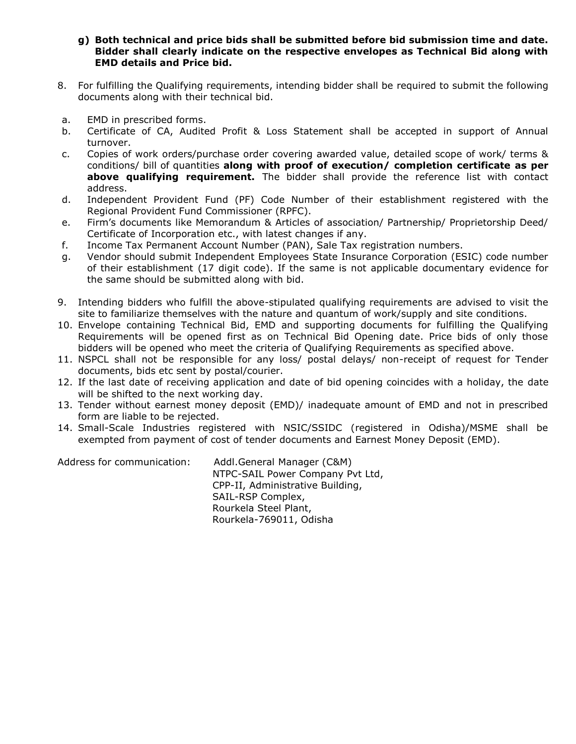- **g) Both technical and price bids shall be submitted before bid submission time and date. Bidder shall clearly indicate on the respective envelopes as Technical Bid along with EMD details and Price bid.**
- 8. For fulfilling the Qualifying requirements, intending bidder shall be required to submit the following documents along with their technical bid.
- a. EMD in prescribed forms.
- b. Certificate of CA, Audited Profit & Loss Statement shall be accepted in support of Annual turnover.
- c. Copies of work orders/purchase order covering awarded value, detailed scope of work/ terms & conditions/ bill of quantities **along with proof of execution/ completion certificate as per above qualifying requirement.** The bidder shall provide the reference list with contact address.
- d. Independent Provident Fund (PF) Code Number of their establishment registered with the Regional Provident Fund Commissioner (RPFC).
- e. Firm's documents like Memorandum & Articles of association/ Partnership/ Proprietorship Deed/ Certificate of Incorporation etc., with latest changes if any.
- f. Income Tax Permanent Account Number (PAN), Sale Tax registration numbers.
- g. Vendor should submit Independent Employees State Insurance Corporation (ESIC) code number of their establishment (17 digit code). If the same is not applicable documentary evidence for the same should be submitted along with bid.
- 9. Intending bidders who fulfill the above-stipulated qualifying requirements are advised to visit the site to familiarize themselves with the nature and quantum of work/supply and site conditions.
- 10. Envelope containing Technical Bid, EMD and supporting documents for fulfilling the Qualifying Requirements will be opened first as on Technical Bid Opening date. Price bids of only those bidders will be opened who meet the criteria of Qualifying Requirements as specified above.
- 11. NSPCL shall not be responsible for any loss/ postal delays/ non-receipt of request for Tender documents, bids etc sent by postal/courier.
- 12. If the last date of receiving application and date of bid opening coincides with a holiday, the date will be shifted to the next working day.
- 13. Tender without earnest money deposit (EMD)/ inadequate amount of EMD and not in prescribed form are liable to be rejected.
- 14. Small-Scale Industries registered with NSIC/SSIDC (registered in Odisha)/MSME shall be exempted from payment of cost of tender documents and Earnest Money Deposit (EMD).

Address for communication: Addl.General Manager (C&M) NTPC-SAIL Power Company Pvt Ltd, CPP-II, Administrative Building, SAIL-RSP Complex, Rourkela Steel Plant, Rourkela-769011, Odisha